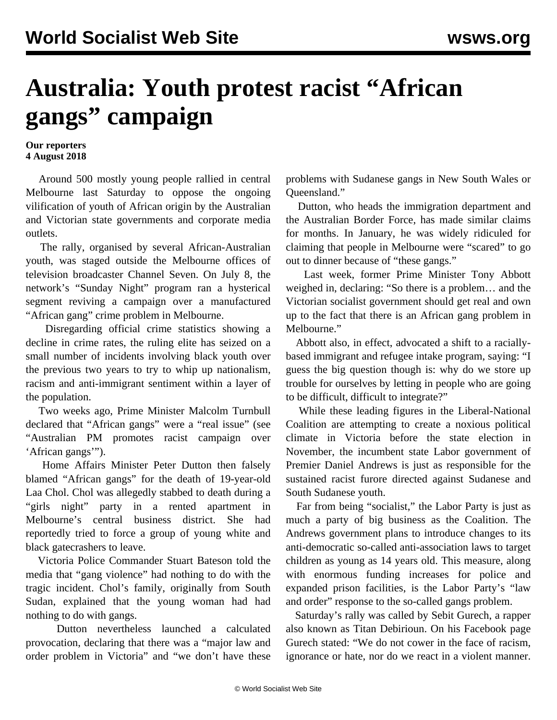## **Australia: Youth protest racist "African gangs" campaign**

## **Our reporters 4 August 2018**

 Around 500 mostly young people rallied in central Melbourne last Saturday to oppose the ongoing vilification of youth of African origin by the Australian and Victorian state governments and corporate media outlets.

 The rally, organised by several African-Australian youth, was staged outside the Melbourne offices of television broadcaster Channel Seven. On July 8, the network's "Sunday Night" program ran a hysterical segment reviving a campaign over a manufactured "African gang" crime problem in Melbourne.

 Disregarding official crime statistics showing a decline in crime rates, the ruling elite has seized on a small number of incidents involving black youth over the previous two years to try to whip up nationalism, racism and anti-immigrant sentiment within a layer of the population.

 Two weeks ago, Prime Minister Malcolm Turnbull declared that "African gangs" were a "real issue" (see "[Australian PM promotes racist campaign over](/en/articles/2018/07/19/gang-j19.html) ['African gangs'"](/en/articles/2018/07/19/gang-j19.html)).

 Home Affairs Minister Peter Dutton then falsely blamed "African gangs" for the death of 19-year-old Laa Chol. Chol was allegedly stabbed to death during a "girls night" party in a rented apartment in Melbourne's central business district. She had reportedly tried to force a group of young white and black gatecrashers to leave.

 Victoria Police Commander Stuart Bateson told the media that "gang violence" had nothing to do with the tragic incident. Chol's family, originally from South Sudan, explained that the young woman had had nothing to do with gangs.

 Dutton nevertheless launched a calculated provocation, declaring that there was a "major law and order problem in Victoria" and "we don't have these problems with Sudanese gangs in New South Wales or Queensland."

 Dutton, who heads the immigration department and the Australian Border Force, has made similar claims for months. In January, he was widely ridiculed for claiming that people in Melbourne were "scared" to go out to dinner because of "these gangs."

 Last week, former Prime Minister Tony Abbott weighed in, declaring: "So there is a problem… and the Victorian socialist government should get real and own up to the fact that there is an African gang problem in Melbourne."

 Abbott also, in effect, advocated a shift to a raciallybased immigrant and refugee intake program, saying: "I guess the big question though is: why do we store up trouble for ourselves by letting in people who are going to be difficult, difficult to integrate?"

 While these leading figures in the Liberal-National Coalition are attempting to create a noxious political climate in Victoria before the state election in November, the incumbent state Labor government of Premier Daniel Andrews is just as responsible for the sustained racist furore directed against Sudanese and South Sudanese youth.

 Far from being "socialist," the Labor Party is just as much a party of big business as the Coalition. The Andrews government plans to introduce changes to its anti-democratic so-called anti-association laws to target children as young as 14 years old. This measure, along with enormous funding increases for police and expanded prison facilities, is the Labor Party's "law and order" response to the so-called gangs problem.

 Saturday's rally was called by Sebit Gurech, a rapper also known as Titan Debirioun. On his Facebook page Gurech stated: "We do not cower in the face of racism, ignorance or hate, nor do we react in a violent manner.